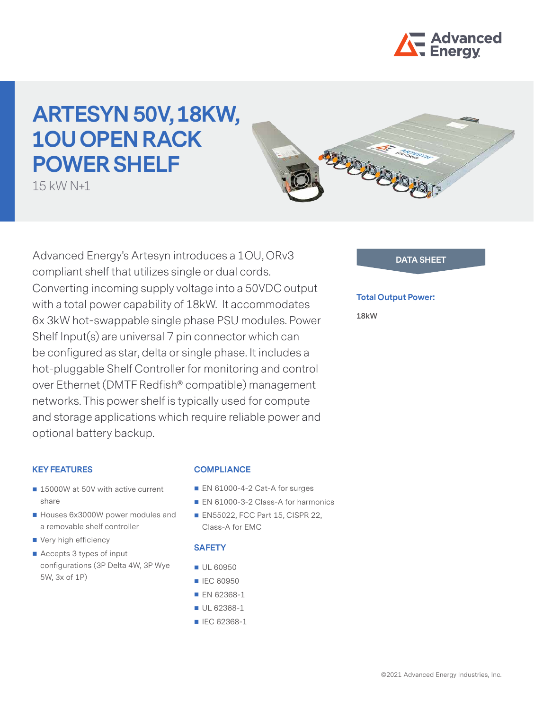

# **ARTESYN 50V, 18KW, 1OU OPEN RACK POWER SHELF**

15 kW N+1



## **Total Output Power:**

**18kW**

RECONOMISTICS

## **KEY FEATURES**

- 15000W at 50V with active current share
- Houses 6x3000W power modules and a removable shelf controller
- Very high efficiency
- Accepts 3 types of input configurations (3P Delta 4W, 3P Wye 5W, 3x of 1P)

## **COMPLIANCE**

- EN 61000-4-2 Cat-A for surges
- EN 61000-3-2 Class-A for harmonics
- **EN55022, FCC Part 15, CISPR 22,** Class-A for EMC

## **SAFETY**

- UL 60950
- **IEC 60950**
- **EN 62368-1**
- UL 62368-1
- **IEC 62368-1**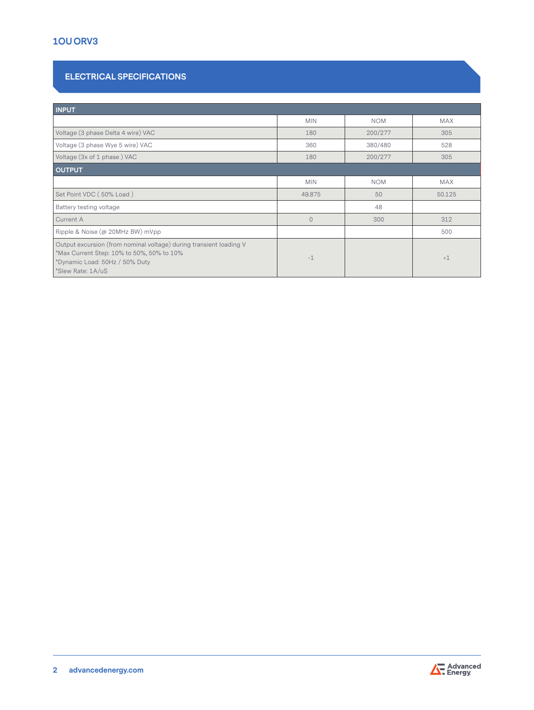# **1OU ORV3**

# **ELECTRICAL SPECIFICATIONS**

| <b>INPUT</b>                                                                                                                                                           |            |            |            |  |  |
|------------------------------------------------------------------------------------------------------------------------------------------------------------------------|------------|------------|------------|--|--|
|                                                                                                                                                                        | <b>MIN</b> | <b>NOM</b> | <b>MAX</b> |  |  |
| Voltage (3 phase Delta 4 wire) VAC                                                                                                                                     | 180        | 200/277    | 305        |  |  |
| Voltage (3 phase Wye 5 wire) VAC                                                                                                                                       | 360        | 380/480    | 528        |  |  |
| Voltage (3x of 1 phase) VAC                                                                                                                                            | 180        | 200/277    | 305        |  |  |
| <b>OUTPUT</b>                                                                                                                                                          |            |            |            |  |  |
|                                                                                                                                                                        | <b>MIN</b> | <b>NOM</b> | <b>MAX</b> |  |  |
| Set Point VDC (50% Load)                                                                                                                                               | 49.875     | 50         | 50.125     |  |  |
| Battery testing voltage                                                                                                                                                |            | 48         |            |  |  |
| Current A                                                                                                                                                              | $\Omega$   | 300        | 312        |  |  |
| Ripple & Noise (@ 20MHz BW) mVpp                                                                                                                                       |            |            | 500        |  |  |
| Output excursion (from nominal voltage) during transient loading V<br>*Max Current Step: 10% to 50%, 50% to 10%<br>*Dynamic Load: 50Hz / 50% Duty<br>*Slew Rate: 1A/uS | $-1$       |            | $+1$       |  |  |

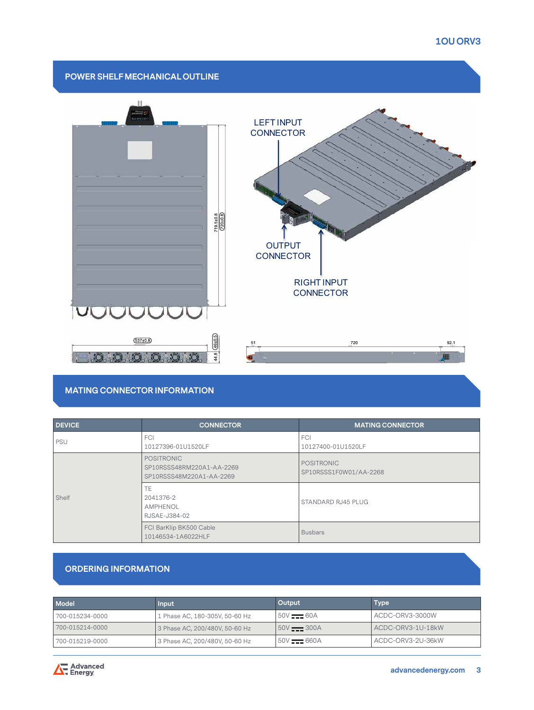## **1OU ORV3**



# **MATING CONNECTOR INFORMATION**

| <b>DEVICE</b> | <b>CONNECTOR</b>                                                           | <b>MATING CONNECTOR</b>                     |  |
|---------------|----------------------------------------------------------------------------|---------------------------------------------|--|
| <b>PSU</b>    | <b>FCI</b><br>10127396-01U1520LF                                           | <b>FCI</b><br>10127400-01U1520LF            |  |
| Shelf         | <b>POSITRONIC</b><br>SP10RSSS48RM220A1-AA-2269<br>SP10RSSS48M220A1-AA-2269 | <b>POSITRONIC</b><br>SP10RSSS1F0W01/AA-2268 |  |
|               | TE<br>2041376-2<br>AMPHENOL<br>RJSAE-J384-02                               | STANDARD RJ45 PLUG                          |  |
|               | FCI BarKlip BK500 Cable<br>10146534-1A6022HLF                              | <b>Busbars</b>                              |  |

## **ORDERING INFORMATION**

| Model           | <b>Input</b>                   | Output                        | Type              |
|-----------------|--------------------------------|-------------------------------|-------------------|
| 700-015234-0000 | 1 Phase AC, 180-305V, 50-60 Hz | $50V = 60A$                   | ACDC-ORV3-3000W   |
| 700-015214-0000 | 3 Phase AC, 200/480V, 50-60 Hz | $150V$ $\longrightarrow 300A$ | ACDC-ORV3-1U-18kW |
| 700-015219-0000 | 3 Phase AC, 200/480V, 50-60 Hz | $150V$ $\longrightarrow 660A$ | ACDC-ORV3-2U-36kW |